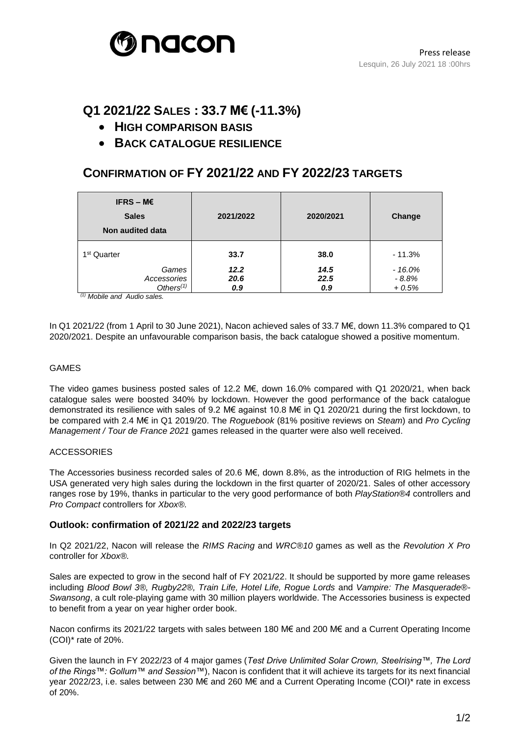

# **Q1 2021/22 SALES : 33.7 M€ (-11.3%)**

- **HIGH COMPARISON BASIS**
- **BACK CATALOGUE RESILIENCE**

## **CONFIRMATION OF FY 2021/22 AND FY 2022/23 TARGETS**

| IFRS – $M \in$<br><b>Sales</b><br>Non audited data | 2021/2022           | 2020/2021           | Change                         |
|----------------------------------------------------|---------------------|---------------------|--------------------------------|
| 1 <sup>st</sup> Quarter                            | 33.7                | 38.0                | $-11.3%$                       |
| Games<br>Accessories<br>Others $(1)$               | 12.2<br>20.6<br>0.9 | 14.5<br>22.5<br>0.9 | $-16.0%$<br>$-8.8%$<br>$+0.5%$ |

*(1) Mobile and Audio sales.*

In Q1 2021/22 (from 1 April to 30 June 2021), Nacon achieved sales of 33.7 M€, down 11.3% compared to Q1 2020/2021. Despite an unfavourable comparison basis, the back catalogue showed a positive momentum.

#### GAMES

The video games business posted sales of 12.2 M€, down 16.0% compared with Q1 2020/21, when back catalogue sales were boosted 340% by lockdown. However the good performance of the back catalogue demonstrated its resilience with sales of 9.2 M€ against 10.8 M€ in Q1 2020/21 during the first lockdown, to be compared with 2.4 M€ in Q1 2019/20. The *Roguebook* (81% positive reviews on *Steam*) and *Pro Cycling Management / Tour de France 2021* games released in the quarter were also well received.

#### ACCESSORIES

The Accessories business recorded sales of 20.6 M€, down 8.8%, as the introduction of RIG helmets in the USA generated very high sales during the lockdown in the first quarter of 2020/21. Sales of other accessory ranges rose by 19%, thanks in particular to the very good performance of both *PlayStation®4* controllers and *Pro Compact* controllers for *Xbox®.*

### **Outlook: confirmation of 2021/22 and 2022/23 targets**

In Q2 2021/22, Nacon will release the *RIMS Racing* and *WRC®10* games as well as the *Revolution X Pro*  controller for *Xbox®.*

Sales are expected to grow in the second half of FY 2021/22. It should be supported by more game releases including *Blood Bowl 3®, Rugby22®, Train Life, Hotel Life, Rogue Lords* and *Vampire: The Masquerade®- Swansong*, a cult role-playing game with 30 million players worldwide. The Accessories business is expected to benefit from a year on year higher order book.

Nacon confirms its 2021/22 targets with sales between 180 M€ and 200 M€ and a Current Operating Income (COI)\* rate of 20%.

Given the launch in FY 2022/23 of 4 major games (*Test Drive Unlimited Solar Crown, Steelrising™, The Lord of the Rings™: Gollum™ and Session™*), Nacon is confident that it will achieve its targets for its next financial year 2022/23, i.e. sales between 230 M€ and 260 M€ and a Current Operating Income (COI)\* rate in excess of 20%.